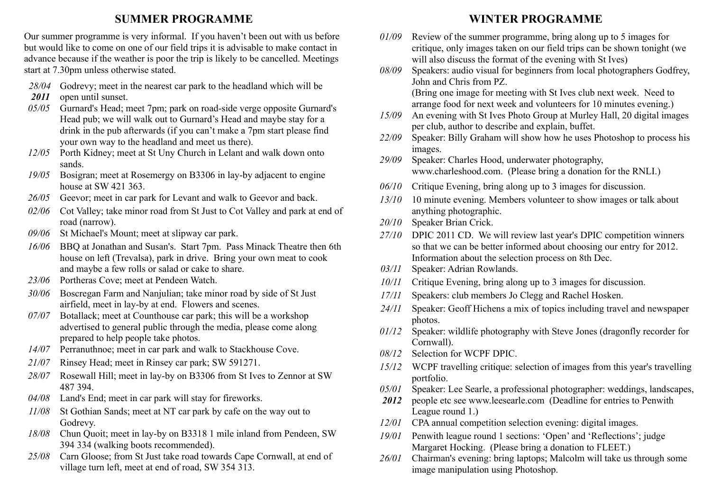### **SUMMER PROGRAMME**

Our summer programme is very informal. If you haven't been out with us before but would like to come on one of our field trips it is advisable to make contact in advance because if the weather is poor the trip is likely to be cancelled. Meetings start at 7.30pm unless otherwise stated.

- *28/04* Godrevy; meet in the nearest car park to the headland which will be
- *2011* open until sunset.
- *05/05* Gurnard's Head; meet 7pm; park on road-side verge opposite Gurnard's Head pub; we will walk out to Gurnard's Head and maybe stay for a drink in the pub afterwards (if you can't make a 7pm start please find your own way to the headland and meet us there).
- *12/05* Porth Kidney; meet at St Uny Church in Lelant and walk down onto sands.
- *19/05* Bosigran; meet at Rosemergy on B3306 in lay-by adjacent to engine house at SW 421 363.
- *26/05* Geevor; meet in car park for Levant and walk to Geevor and back.
- *02/06* Cot Valley; take minor road from St Just to Cot Valley and park at end of road (narrow).
- *09/06* St Michael's Mount; meet at slipway car park.
- *16/06* BBQ at Jonathan and Susan's. Start 7pm. Pass Minack Theatre then 6th house on left (Trevalsa), park in drive. Bring your own meat to cook and maybe a few rolls or salad or cake to share.
- *23/06* Portheras Cove; meet at Pendeen Watch.
- *30/06* Boscregan Farm and Nanjulian; take minor road by side of St Just airfield, meet in lay-by at end. Flowers and scenes.
- *07/07* Botallack; meet at Counthouse car park; this will be a workshop advertised to general public through the media, please come along prepared to help people take photos.
- *14/07* Perranuthnoe; meet in car park and walk to Stackhouse Cove.
- *21/07* Rinsey Head; meet in Rinsey car park; SW 591271.
- *28/07* Rosewall Hill; meet in lay-by on B3306 from St Ives to Zennor at SW 487 394.
- *04/08* Land's End; meet in car park will stay for fireworks.
- *11/08* St Gothian Sands; meet at NT car park by cafe on the way out to Godrevy.
- *18/08* Chun Quoit; meet in lay-by on B3318 1 mile inland from Pendeen, SW 394 334 (walking boots recommended).
- *25/08* Carn Gloose; from St Just take road towards Cape Cornwall, at end of village turn left, meet at end of road, SW 354 313.

### **WINTER PROGRAMME**

- *01/09* Review of the summer programme, bring along up to 5 images for critique, only images taken on our field trips can be shown tonight (we will also discuss the format of the evening with St Ives)
- *08/09* Speakers: audio visual for beginners from local photographers Godfrey, John and Chris from PZ.

(Bring one image for meeting with St Ives club next week. Need to arrange food for next week and volunteers for 10 minutes evening.)

- *15/09* An evening with St Ives Photo Group at Murley Hall, 20 digital images per club, author to describe and explain, buffet.
- *22/09* Speaker: Billy Graham will show how he uses Photoshop to process his images.
- *29/09* Speaker: Charles Hood, underwater photography, www.charleshood.com. (Please bring a donation for the RNLI.)
- *06/10* Critique Evening, bring along up to 3 images for discussion.
- *13/10* 10 minute evening. Members volunteer to show images or talk about anything photographic.
- *20/10* Speaker Brian Crick.
- *27/10* DPIC 2011 CD. We will review last year's DPIC competition winners so that we can be better informed about choosing our entry for 2012. Information about the selection process on 8th Dec.
- *03/11* Speaker: Adrian Rowlands.
- *10/11* Critique Evening, bring along up to 3 images for discussion.
- *17/11* Speakers: club members Jo Clegg and Rachel Hosken.
- *24/11* Speaker: Geoff Hichens a mix of topics including travel and newspaper photos.
- *01/12* Speaker: wildlife photography with Steve Jones (dragonfly recorder for Cornwall).
- *08/12* Selection for WCPF DPIC.
- *15/12* WCPF travelling critique: selection of images from this year's travelling portfolio.
- *05/01* Speaker: Lee Searle, a professional photographer: weddings, landscapes,
- *2012* people etc see www.leesearle.com (Deadline for entries to Penwith League round 1.)
- *12/01* CPA annual competition selection evening: digital images.
- *19/01* Penwith league round 1 sections: 'Open' and 'Reflections'; judge Margaret Hocking. (Please bring a donation to FLEET.)
- *26/01* Chairman's evening: bring laptops; Malcolm will take us through some image manipulation using Photoshop.